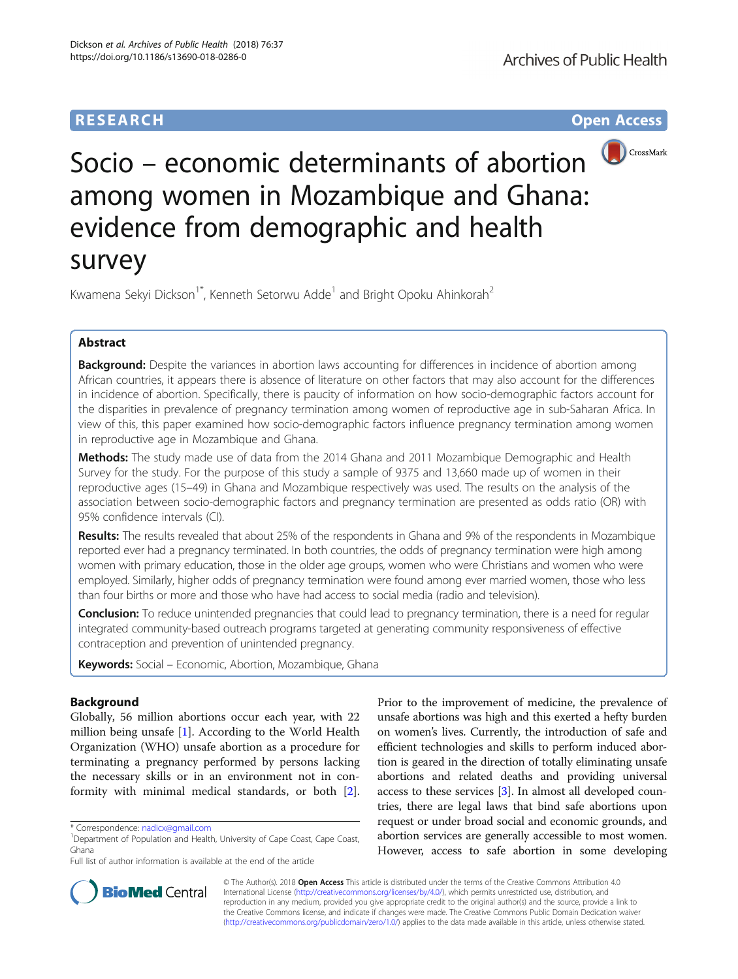# **RESEARCH RESEARCH** *CHECKER CHECKER CHECKER CHECKER CHECKER CHECKER CHECKER CHECKER CHECKER CHECKER CHECKER*



# Socio – economic determinants of abortion among women in Mozambique and Ghana: evidence from demographic and health survey

Kwamena Sekyi Dickson<sup>1\*</sup>, Kenneth Setorwu Adde<sup>1</sup> and Bright Opoku Ahinkorah<sup>2</sup>

# Abstract

Background: Despite the variances in abortion laws accounting for differences in incidence of abortion among African countries, it appears there is absence of literature on other factors that may also account for the differences in incidence of abortion. Specifically, there is paucity of information on how socio-demographic factors account for the disparities in prevalence of pregnancy termination among women of reproductive age in sub-Saharan Africa. In view of this, this paper examined how socio-demographic factors influence pregnancy termination among women in reproductive age in Mozambique and Ghana.

Methods: The study made use of data from the 2014 Ghana and 2011 Mozambique Demographic and Health Survey for the study. For the purpose of this study a sample of 9375 and 13,660 made up of women in their reproductive ages (15–49) in Ghana and Mozambique respectively was used. The results on the analysis of the association between socio-demographic factors and pregnancy termination are presented as odds ratio (OR) with 95% confidence intervals (CI).

Results: The results revealed that about 25% of the respondents in Ghana and 9% of the respondents in Mozambique reported ever had a pregnancy terminated. In both countries, the odds of pregnancy termination were high among women with primary education, those in the older age groups, women who were Christians and women who were employed. Similarly, higher odds of pregnancy termination were found among ever married women, those who less than four births or more and those who have had access to social media (radio and television).

Conclusion: To reduce unintended pregnancies that could lead to pregnancy termination, there is a need for regular integrated community-based outreach programs targeted at generating community responsiveness of effective contraception and prevention of unintended pregnancy.

Keywords: Social – Economic, Abortion, Mozambique, Ghana

# Background

Globally, 56 million abortions occur each year, with 22 million being unsafe [[1\]](#page-8-0). According to the World Health Organization (WHO) unsafe abortion as a procedure for terminating a pregnancy performed by persons lacking the necessary skills or in an environment not in conformity with minimal medical standards, or both [\[2](#page-8-0)].

Prior to the improvement of medicine, the prevalence of unsafe abortions was high and this exerted a hefty burden on women's lives. Currently, the introduction of safe and efficient technologies and skills to perform induced abortion is geared in the direction of totally eliminating unsafe abortions and related deaths and providing universal access to these services [[3\]](#page-8-0). In almost all developed countries, there are legal laws that bind safe abortions upon request or under broad social and economic grounds, and abortion services are generally accessible to most women. However, access to safe abortion in some developing



© The Author(s). 2018 Open Access This article is distributed under the terms of the Creative Commons Attribution 4.0 International License [\(http://creativecommons.org/licenses/by/4.0/](http://creativecommons.org/licenses/by/4.0/)), which permits unrestricted use, distribution, and reproduction in any medium, provided you give appropriate credit to the original author(s) and the source, provide a link to the Creative Commons license, and indicate if changes were made. The Creative Commons Public Domain Dedication waiver [\(http://creativecommons.org/publicdomain/zero/1.0/](http://creativecommons.org/publicdomain/zero/1.0/)) applies to the data made available in this article, unless otherwise stated.

<sup>\*</sup> Correspondence: [nadicx@gmail.com](mailto:nadicx@gmail.com) <sup>1</sup>

<sup>&</sup>lt;sup>1</sup>Department of Population and Health, University of Cape Coast, Cape Coast, Ghana

Full list of author information is available at the end of the article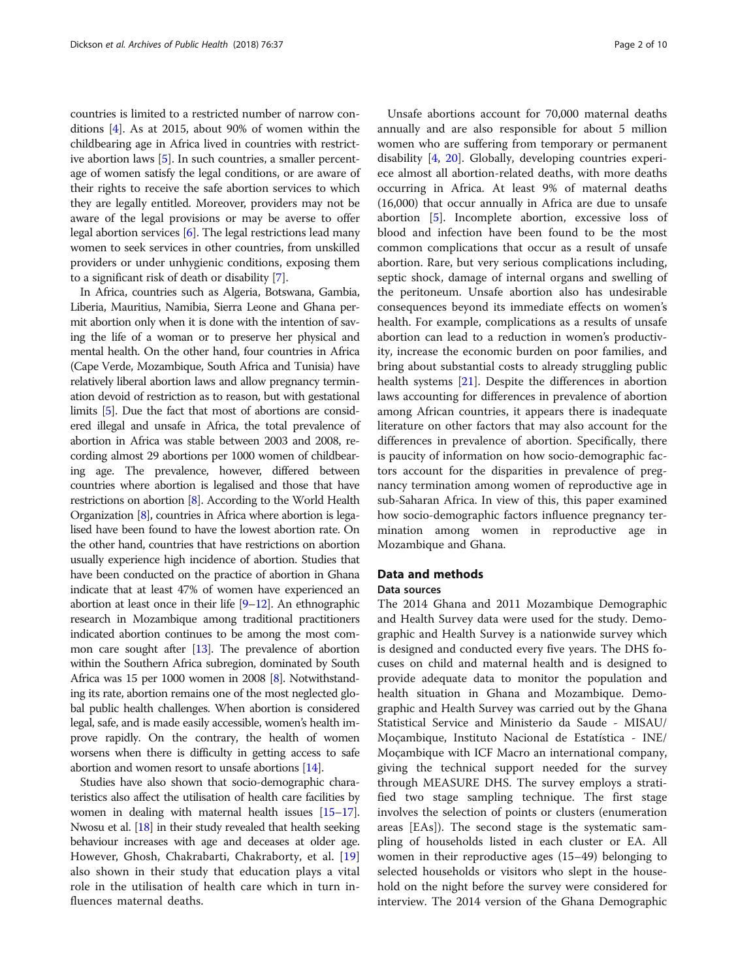countries is limited to a restricted number of narrow conditions [\[4\]](#page-8-0). As at 2015, about 90% of women within the childbearing age in Africa lived in countries with restrictive abortion laws [[5](#page-8-0)]. In such countries, a smaller percentage of women satisfy the legal conditions, or are aware of their rights to receive the safe abortion services to which they are legally entitled. Moreover, providers may not be aware of the legal provisions or may be averse to offer legal abortion services [[6](#page-8-0)]. The legal restrictions lead many women to seek services in other countries, from unskilled providers or under unhygienic conditions, exposing them to a significant risk of death or disability [[7\]](#page-8-0).

In Africa, countries such as Algeria, Botswana, Gambia, Liberia, Mauritius, Namibia, Sierra Leone and Ghana permit abortion only when it is done with the intention of saving the life of a woman or to preserve her physical and mental health. On the other hand, four countries in Africa (Cape Verde, Mozambique, South Africa and Tunisia) have relatively liberal abortion laws and allow pregnancy termination devoid of restriction as to reason, but with gestational limits [\[5\]](#page-8-0). Due the fact that most of abortions are considered illegal and unsafe in Africa, the total prevalence of abortion in Africa was stable between 2003 and 2008, recording almost 29 abortions per 1000 women of childbearing age. The prevalence, however, differed between countries where abortion is legalised and those that have restrictions on abortion [\[8](#page-8-0)]. According to the World Health Organization [\[8](#page-8-0)], countries in Africa where abortion is legalised have been found to have the lowest abortion rate. On the other hand, countries that have restrictions on abortion usually experience high incidence of abortion. Studies that have been conducted on the practice of abortion in Ghana indicate that at least 47% of women have experienced an abortion at least once in their life [[9](#page-8-0)–[12\]](#page-8-0). An ethnographic research in Mozambique among traditional practitioners indicated abortion continues to be among the most common care sought after [\[13](#page-8-0)]. The prevalence of abortion within the Southern Africa subregion, dominated by South Africa was 15 per 1000 women in 2008 [[8](#page-8-0)]. Notwithstanding its rate, abortion remains one of the most neglected global public health challenges. When abortion is considered legal, safe, and is made easily accessible, women's health improve rapidly. On the contrary, the health of women worsens when there is difficulty in getting access to safe abortion and women resort to unsafe abortions [\[14](#page-8-0)].

Studies have also shown that socio-demographic charateristics also affect the utilisation of health care facilities by women in dealing with maternal health issues [[15](#page-8-0)–[17](#page-8-0)]. Nwosu et al. [\[18\]](#page-8-0) in their study revealed that health seeking behaviour increases with age and deceases at older age. However, Ghosh, Chakrabarti, Chakraborty, et al. [\[19](#page-8-0)] also shown in their study that education plays a vital role in the utilisation of health care which in turn influences maternal deaths.

Unsafe abortions account for 70,000 maternal deaths annually and are also responsible for about 5 million women who are suffering from temporary or permanent disability [\[4](#page-8-0), [20\]](#page-8-0). Globally, developing countries experiece almost all abortion-related deaths, with more deaths occurring in Africa. At least 9% of maternal deaths (16,000) that occur annually in Africa are due to unsafe abortion [[5\]](#page-8-0). Incomplete abortion, excessive loss of blood and infection have been found to be the most common complications that occur as a result of unsafe abortion. Rare, but very serious complications including, septic shock, damage of internal organs and swelling of the peritoneum. Unsafe abortion also has undesirable consequences beyond its immediate effects on women's health. For example, complications as a results of unsafe abortion can lead to a reduction in women's productivity, increase the economic burden on poor families, and bring about substantial costs to already struggling public health systems [[21\]](#page-8-0). Despite the differences in abortion laws accounting for differences in prevalence of abortion among African countries, it appears there is inadequate literature on other factors that may also account for the differences in prevalence of abortion. Specifically, there is paucity of information on how socio-demographic factors account for the disparities in prevalence of pregnancy termination among women of reproductive age in sub-Saharan Africa. In view of this, this paper examined how socio-demographic factors influence pregnancy termination among women in reproductive age in Mozambique and Ghana.

# Data and methods

# Data sources

The 2014 Ghana and 2011 Mozambique Demographic and Health Survey data were used for the study. Demographic and Health Survey is a nationwide survey which is designed and conducted every five years. The DHS focuses on child and maternal health and is designed to provide adequate data to monitor the population and health situation in Ghana and Mozambique. Demographic and Health Survey was carried out by the Ghana Statistical Service and Ministerio da Saude - MISAU/ Moçambique, Instituto Nacional de Estatística - INE/ Moçambique with ICF Macro an international company, giving the technical support needed for the survey through MEASURE DHS. The survey employs a stratified two stage sampling technique. The first stage involves the selection of points or clusters (enumeration areas [EAs]). The second stage is the systematic sampling of households listed in each cluster or EA. All women in their reproductive ages (15–49) belonging to selected households or visitors who slept in the household on the night before the survey were considered for interview. The 2014 version of the Ghana Demographic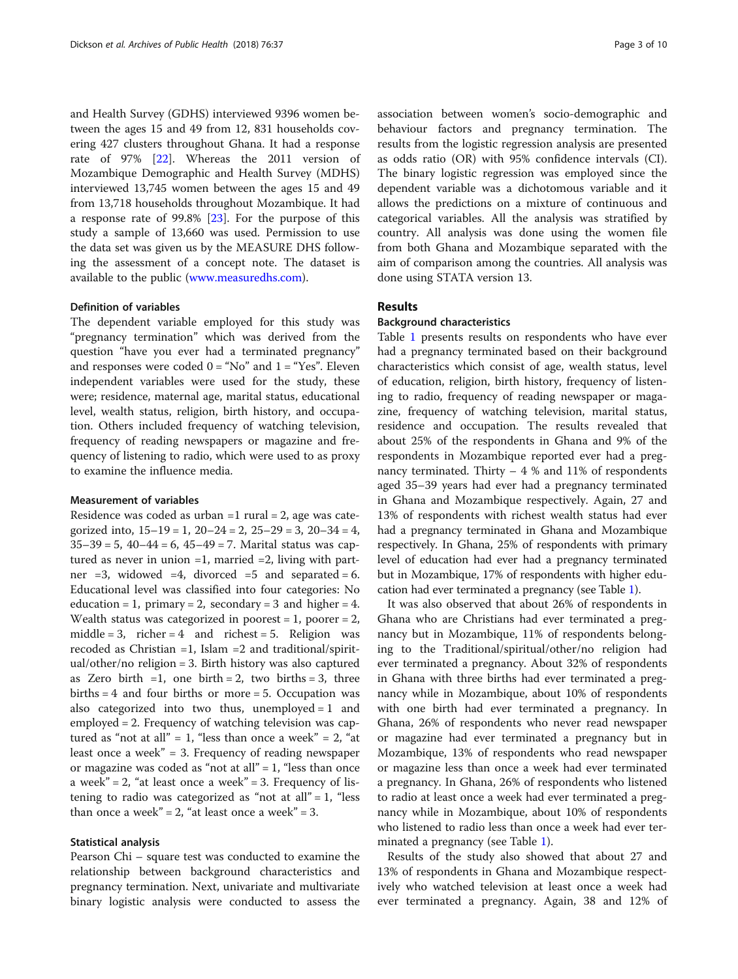and Health Survey (GDHS) interviewed 9396 women between the ages 15 and 49 from 12, 831 households covering 427 clusters throughout Ghana. It had a response rate of 97% [\[22\]](#page-8-0). Whereas the 2011 version of Mozambique Demographic and Health Survey (MDHS) interviewed 13,745 women between the ages 15 and 49 from 13,718 households throughout Mozambique. It had a response rate of 99.8% [\[23](#page-8-0)]. For the purpose of this study a sample of 13,660 was used. Permission to use the data set was given us by the MEASURE DHS following the assessment of a concept note. The dataset is available to the public ([www.measuredhs.com\)](http://www.measuredhs.com).

#### Definition of variables

The dependent variable employed for this study was "pregnancy termination" which was derived from the question "have you ever had a terminated pregnancy" and responses were coded  $0 = "No"$  and  $1 = "Yes".$  Eleven independent variables were used for the study, these were; residence, maternal age, marital status, educational level, wealth status, religion, birth history, and occupation. Others included frequency of watching television, frequency of reading newspapers or magazine and frequency of listening to radio, which were used to as proxy to examine the influence media.

# Measurement of variables

Residence was coded as  $urban =1$  rural = 2, age was categorized into,  $15-19 = 1$ ,  $20-24 = 2$ ,  $25-29 = 3$ ,  $20-34 = 4$ ,  $35-39 = 5$ ,  $40-44 = 6$ ,  $45-49 = 7$ . Marital status was captured as never in union =1, married =2, living with partner  $=3$ , widowed  $=4$ , divorced  $=5$  and separated  $=6$ . Educational level was classified into four categories: No education = 1, primary = 2, secondary = 3 and higher = 4. Wealth status was categorized in poorest = 1, poorer = 2, middle = 3, richer = 4 and richest = 5. Religion was recoded as Christian =1, Islam =2 and traditional/spiritual/other/no religion = 3. Birth history was also captured as Zero birth  $=1$ , one birth  $=2$ , two births  $=3$ , three births  $= 4$  and four births or more  $= 5$ . Occupation was also categorized into two thus, unemployed  $= 1$  and employed = 2. Frequency of watching television was captured as "not at all" = 1, "less than once a week" = 2, "at least once a week" = 3. Frequency of reading newspaper or magazine was coded as "not at all"  $= 1$ , "less than once a week" = 2, "at least once a week" = 3. Frequency of listening to radio was categorized as "not at all" = 1, "less than once a week" = 2, "at least once a week" = 3.

# Statistical analysis

Pearson Chi – square test was conducted to examine the relationship between background characteristics and pregnancy termination. Next, univariate and multivariate binary logistic analysis were conducted to assess the association between women's socio-demographic and behaviour factors and pregnancy termination. The results from the logistic regression analysis are presented as odds ratio (OR) with 95% confidence intervals (CI). The binary logistic regression was employed since the dependent variable was a dichotomous variable and it allows the predictions on a mixture of continuous and categorical variables. All the analysis was stratified by country. All analysis was done using the women file from both Ghana and Mozambique separated with the aim of comparison among the countries. All analysis was done using STATA version 13.

# Results

#### Background characteristics

Table [1](#page-3-0) presents results on respondents who have ever had a pregnancy terminated based on their background characteristics which consist of age, wealth status, level of education, religion, birth history, frequency of listening to radio, frequency of reading newspaper or magazine, frequency of watching television, marital status, residence and occupation. The results revealed that about 25% of the respondents in Ghana and 9% of the respondents in Mozambique reported ever had a pregnancy terminated. Thirty  $-4%$  and 11% of respondents aged 35–39 years had ever had a pregnancy terminated in Ghana and Mozambique respectively. Again, 27 and 13% of respondents with richest wealth status had ever had a pregnancy terminated in Ghana and Mozambique respectively. In Ghana, 25% of respondents with primary level of education had ever had a pregnancy terminated but in Mozambique, 17% of respondents with higher education had ever terminated a pregnancy (see Table [1](#page-3-0)).

It was also observed that about 26% of respondents in Ghana who are Christians had ever terminated a pregnancy but in Mozambique, 11% of respondents belonging to the Traditional/spiritual/other/no religion had ever terminated a pregnancy. About 32% of respondents in Ghana with three births had ever terminated a pregnancy while in Mozambique, about 10% of respondents with one birth had ever terminated a pregnancy. In Ghana, 26% of respondents who never read newspaper or magazine had ever terminated a pregnancy but in Mozambique, 13% of respondents who read newspaper or magazine less than once a week had ever terminated a pregnancy. In Ghana, 26% of respondents who listened to radio at least once a week had ever terminated a pregnancy while in Mozambique, about 10% of respondents who listened to radio less than once a week had ever terminated a pregnancy (see Table [1](#page-3-0)).

Results of the study also showed that about 27 and 13% of respondents in Ghana and Mozambique respectively who watched television at least once a week had ever terminated a pregnancy. Again, 38 and 12% of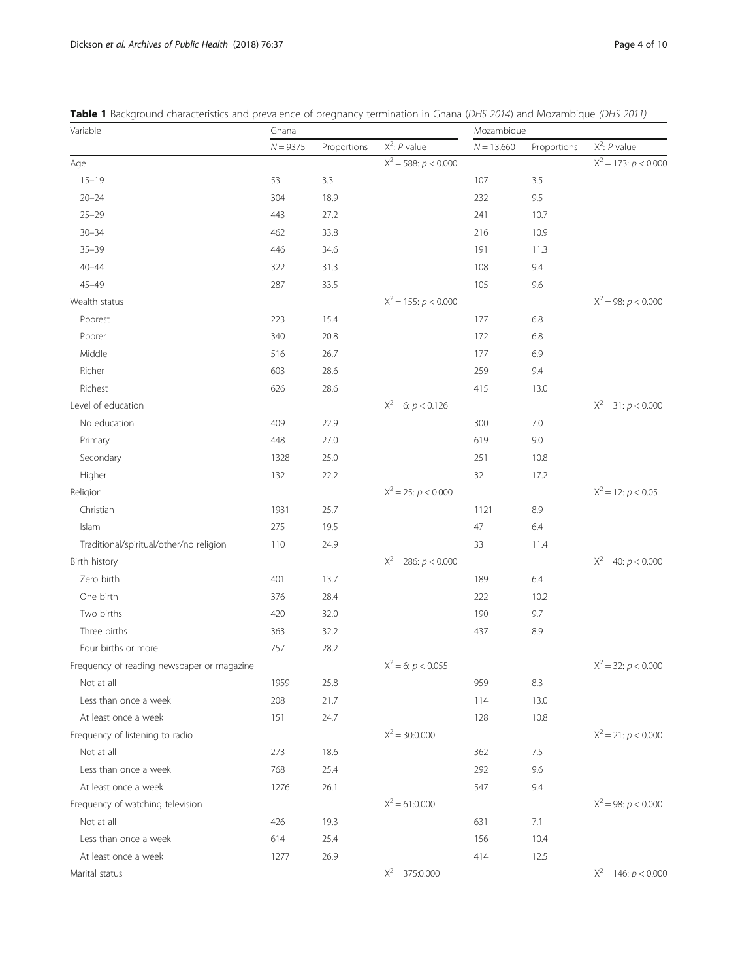| Variable                                   | Ghana      |             |                                     | Mozambique   |             |                           |
|--------------------------------------------|------------|-------------|-------------------------------------|--------------|-------------|---------------------------|
|                                            | $N = 9375$ | Proportions | $X^2$ : P value                     | $N = 13,660$ | Proportions | $X^2$ : P value           |
| Age                                        |            |             | $\overline{X^2}$ = 588: $p < 0.000$ |              |             | $X^2 = 173$ : $p < 0.000$ |
| $15 - 19$                                  | 53         | 3.3         |                                     | 107          | 3.5         |                           |
| $20 - 24$                                  | 304        | 18.9        |                                     | 232          | 9.5         |                           |
| $25 - 29$                                  | 443        | 27.2        |                                     | 241          | 10.7        |                           |
| $30 - 34$                                  | 462        | 33.8        |                                     | 216          | 10.9        |                           |
| $35 - 39$                                  | 446        | 34.6        |                                     | 191          | 11.3        |                           |
| $40 - 44$                                  | 322        | 31.3        |                                     | 108          | 9.4         |                           |
| $45 - 49$                                  | 287        | 33.5        |                                     | 105          | 9.6         |                           |
| Wealth status                              |            |             | $X^2 = 155$ : $p < 0.000$           |              |             | $X^2 = 98$ : $p < 0.000$  |
| Poorest                                    | 223        | 15.4        |                                     | 177          | 6.8         |                           |
| Poorer                                     | 340        | 20.8        |                                     | 172          | 6.8         |                           |
| Middle                                     | 516        | 26.7        |                                     | 177          | 6.9         |                           |
| Richer                                     | 603        | 28.6        |                                     | 259          | 9.4         |                           |
| Richest                                    | 626        | 28.6        |                                     | 415          | 13.0        |                           |
| Level of education                         |            |             | $X^2 = 6$ : $p < 0.126$             |              |             | $X^2 = 31$ : $p < 0.000$  |
| No education                               | 409        | 22.9        |                                     | 300          | 7.0         |                           |
| Primary                                    | 448        | 27.0        |                                     | 619          | 9.0         |                           |
| Secondary                                  | 1328       | 25.0        |                                     | 251          | 10.8        |                           |
| Higher                                     | 132        | 22.2        |                                     | 32           | 17.2        |                           |
| Religion                                   |            |             | $X^2 = 25$ : $p < 0.000$            |              |             | $X^2 = 12$ : $p < 0.05$   |
| Christian                                  | 1931       | 25.7        |                                     | 1121         | 8.9         |                           |
| Islam                                      | 275        | 19.5        |                                     | 47           | 6.4         |                           |
| Traditional/spiritual/other/no religion    | 110        | 24.9        |                                     | 33           | 11.4        |                           |
| Birth history                              |            |             | $X^2$ = 286: $p < 0.000$            |              |             | $X^2 = 40$ : $p < 0.000$  |
| Zero birth                                 | 401        | 13.7        |                                     | 189          | 6.4         |                           |
| One birth                                  | 376        | 28.4        |                                     | 222          | 10.2        |                           |
| Two births                                 | 420        | 32.0        |                                     | 190          | 9.7         |                           |
| Three births                               | 363        | 32.2        |                                     | 437          | 8.9         |                           |
| Four births or more                        | 757        | 28.2        |                                     |              |             |                           |
| Frequency of reading newspaper or magazine |            |             | $X^2 = 6$ : $p < 0.055$             |              |             | $X^2 = 32$ : $p < 0.000$  |
| Not at all                                 | 1959       | 25.8        |                                     | 959          | 8.3         |                           |
| Less than once a week                      | 208        | 21.7        |                                     | 114          | 13.0        |                           |
| At least once a week                       | 151        | 24.7        |                                     | 128          | 10.8        |                           |
| Frequency of listening to radio            |            |             | $X^2 = 30:0.000$                    |              |             | $X^2 = 21$ : $p < 0.000$  |
| Not at all                                 | 273        | 18.6        |                                     | 362          | 7.5         |                           |
| Less than once a week                      | 768        | 25.4        |                                     | 292          | 9.6         |                           |
| At least once a week                       | 1276       | 26.1        |                                     | 547          | 9.4         |                           |
| Frequency of watching television           |            |             | $X^2 = 61:0.000$                    |              |             | $X^2 = 98$ : $p < 0.000$  |
| Not at all                                 | 426        | 19.3        |                                     | 631          | 7.1         |                           |
| Less than once a week                      | 614        | 25.4        |                                     | 156          | 10.4        |                           |
| At least once a week                       | 1277       | 26.9        |                                     | 414          | 12.5        |                           |
| Marital status                             |            |             | $X^2 = 375:0.000$                   |              |             | $X^2 = 146$ : $p < 0.000$ |

<span id="page-3-0"></span>Table 1 Background characteristics and prevalence of pregnancy termination in Ghana (DHS 2014) and Mozambique (DHS 2011)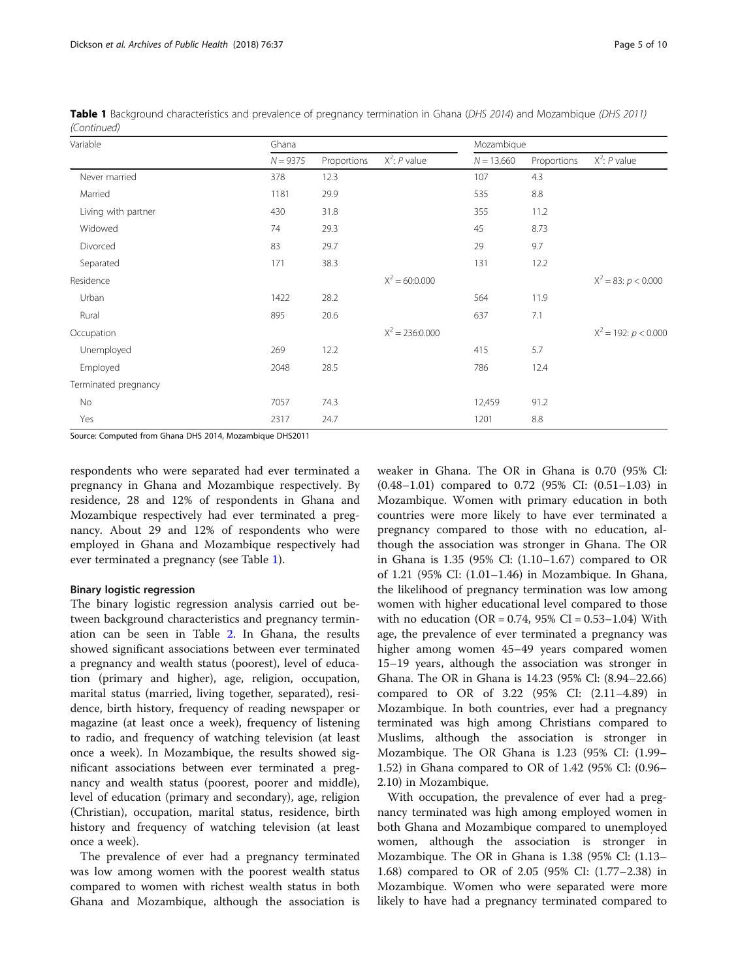| Variable             | Ghana      |             |                   |              | Mozambique  |                           |  |
|----------------------|------------|-------------|-------------------|--------------|-------------|---------------------------|--|
|                      | $N = 9375$ | Proportions | $X^2$ : P value   | $N = 13,660$ | Proportions | $X^2$ : P value           |  |
| Never married        | 378        | 12.3        |                   | 107          | 4.3         |                           |  |
| Married              | 1181       | 29.9        |                   | 535          | 8.8         |                           |  |
| Living with partner  | 430        | 31.8        |                   | 355          | 11.2        |                           |  |
| Widowed              | 74         | 29.3        |                   | 45           | 8.73        |                           |  |
| Divorced             | 83         | 29.7        |                   | 29           | 9.7         |                           |  |
| Separated            | 171        | 38.3        |                   | 131          | 12.2        |                           |  |
| Residence            |            |             | $X^2 = 60:0.000$  |              |             | $X^2 = 83$ : $p < 0.000$  |  |
| Urban                | 1422       | 28.2        |                   | 564          | 11.9        |                           |  |
| Rural                | 895        | 20.6        |                   | 637          | 7.1         |                           |  |
| Occupation           |            |             | $X^2 = 236:0.000$ |              |             | $X^2 = 192$ : $p < 0.000$ |  |
| Unemployed           | 269        | 12.2        |                   | 415          | 5.7         |                           |  |
| Employed             | 2048       | 28.5        |                   | 786          | 12.4        |                           |  |
| Terminated pregnancy |            |             |                   |              |             |                           |  |
| No                   | 7057       | 74.3        |                   | 12,459       | 91.2        |                           |  |
| Yes                  | 2317       | 24.7        |                   | 1201         | 8.8         |                           |  |

Table 1 Background characteristics and prevalence of pregnancy termination in Ghana (DHS 2014) and Mozambique (DHS 2011) (Continued)

Source: Computed from Ghana DHS 2014, Mozambique DHS2011

respondents who were separated had ever terminated a pregnancy in Ghana and Mozambique respectively. By residence, 28 and 12% of respondents in Ghana and Mozambique respectively had ever terminated a pregnancy. About 29 and 12% of respondents who were employed in Ghana and Mozambique respectively had ever terminated a pregnancy (see Table [1\)](#page-3-0).

# Binary logistic regression

The binary logistic regression analysis carried out between background characteristics and pregnancy termination can be seen in Table [2](#page-5-0). In Ghana, the results showed significant associations between ever terminated a pregnancy and wealth status (poorest), level of education (primary and higher), age, religion, occupation, marital status (married, living together, separated), residence, birth history, frequency of reading newspaper or magazine (at least once a week), frequency of listening to radio, and frequency of watching television (at least once a week). In Mozambique, the results showed significant associations between ever terminated a pregnancy and wealth status (poorest, poorer and middle), level of education (primary and secondary), age, religion (Christian), occupation, marital status, residence, birth history and frequency of watching television (at least once a week).

The prevalence of ever had a pregnancy terminated was low among women with the poorest wealth status compared to women with richest wealth status in both Ghana and Mozambique, although the association is weaker in Ghana. The OR in Ghana is 0.70 (95% Cl: (0.48–1.01) compared to 0.72 (95% CI: (0.51–1.03) in Mozambique. Women with primary education in both countries were more likely to have ever terminated a pregnancy compared to those with no education, although the association was stronger in Ghana. The OR in Ghana is 1.35 (95% Cl: (1.10–1.67) compared to OR of 1.21 (95% CI: (1.01–1.46) in Mozambique. In Ghana, the likelihood of pregnancy termination was low among women with higher educational level compared to those with no education (OR =  $0.74$ ,  $95\%$  CI =  $0.53-1.04$ ) With age, the prevalence of ever terminated a pregnancy was higher among women 45–49 years compared women 15–19 years, although the association was stronger in Ghana. The OR in Ghana is 14.23 (95% Cl: (8.94–22.66) compared to OR of 3.22 (95% CI: (2.11–4.89) in Mozambique. In both countries, ever had a pregnancy terminated was high among Christians compared to Muslims, although the association is stronger in Mozambique. The OR Ghana is 1.23 (95% CI: (1.99– 1.52) in Ghana compared to OR of 1.42 (95% Cl: (0.96– 2.10) in Mozambique.

With occupation, the prevalence of ever had a pregnancy terminated was high among employed women in both Ghana and Mozambique compared to unemployed women, although the association is stronger in Mozambique. The OR in Ghana is 1.38 (95% Cl: (1.13– 1.68) compared to OR of 2.05 (95% CI: (1.77–2.38) in Mozambique. Women who were separated were more likely to have had a pregnancy terminated compared to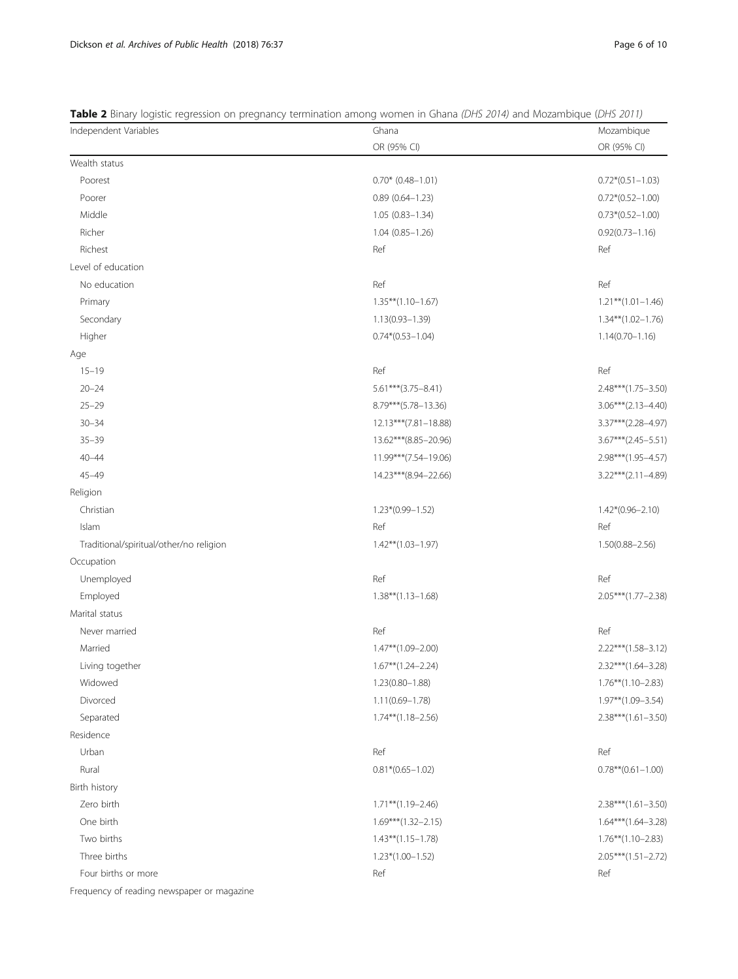<span id="page-5-0"></span>

| Independent Variables                   | - 7<br>Ghana           |                           |  |  |
|-----------------------------------------|------------------------|---------------------------|--|--|
|                                         | OR (95% CI)            | Mozambique<br>OR (95% CI) |  |  |
| Wealth status                           |                        |                           |  |  |
| Poorest                                 | $0.70*$ (0.48-1.01)    | $0.72*(0.51-1.03)$        |  |  |
| Poorer                                  | $0.89(0.64 - 1.23)$    | $0.72*(0.52 - 1.00)$      |  |  |
| Middle                                  | $1.05(0.83 - 1.34)$    | $0.73*(0.52 - 1.00)$      |  |  |
| Richer                                  | $1.04(0.85 - 1.26)$    | $0.92(0.73 - 1.16)$       |  |  |
| Richest                                 | Ref                    | Ref                       |  |  |
| Level of education                      |                        |                           |  |  |
| No education                            | Ref                    | Ref                       |  |  |
| Primary                                 | $1.35***(1.10-1.67)$   | $1.21***(1.01-1.46)$      |  |  |
| Secondary                               | $1.13(0.93 - 1.39)$    | $1.34***$ (1.02-1.76)     |  |  |
| Higher                                  | $0.74*(0.53 - 1.04)$   | $1.14(0.70 - 1.16)$       |  |  |
| Age                                     |                        |                           |  |  |
| $15 - 19$                               | Ref                    | Ref                       |  |  |
| $20 - 24$                               | $5.61***$ (3.75-8.41)  | $2.48***$ (1.75 - 3.50)   |  |  |
| $25 - 29$                               | $8.79***$ (5.78-13.36) | $3.06***$ (2.13-4.40)     |  |  |
| $30 - 34$                               | 12.13***(7.81-18.88)   | 3.37***(2.28-4.97)        |  |  |
| $35 - 39$                               | 13.62***(8.85-20.96)   | $3.67***$ (2.45 - 5.51)   |  |  |
| $40 - 44$                               | 11.99***(7.54-19.06)   | $2.98***$ (1.95-4.57)     |  |  |
| $45 - 49$                               | 14.23***(8.94-22.66)   | $3.22***$ (2.11-4.89)     |  |  |
| Religion                                |                        |                           |  |  |
| Christian                               | $1.23*(0.99 - 1.52)$   | $1.42*(0.96 - 2.10)$      |  |  |
| Islam                                   | Ref                    | Ref                       |  |  |
| Traditional/spiritual/other/no religion | $1.42**$ (1.03-1.97)   | $1.50(0.88 - 2.56)$       |  |  |
| Occupation                              |                        |                           |  |  |
| Unemployed                              | Ref                    | Ref                       |  |  |
| Employed                                | $1.38***(1.13-1.68)$   | $2.05***$ (1.77-2.38)     |  |  |
| Marital status                          |                        |                           |  |  |
| Never married                           | Ref                    | Ref                       |  |  |
| Married                                 | $1.47**$ (1.09-2.00)   | $2.22***$ (1.58-3.12)     |  |  |
| Living together                         | $1.67***$ (1.24-2.24)  | $2.32***$ (1.64-3.28)     |  |  |
| Widowed                                 | 1.23(0.80-1.88)        | $1.76**$ (1.10-2.83)      |  |  |
| Divorced                                | $1.11(0.69 - 1.78)$    | 1.97**(1.09-3.54)         |  |  |
| Separated                               | $1.74***(1.18-2.56)$   | $2.38***(1.61-3.50)$      |  |  |
| Residence                               |                        |                           |  |  |
| Urban                                   | Ref                    | Ref                       |  |  |
| Rural                                   | $0.81*(0.65 - 1.02)$   | $0.78**$ (0.61 - 1.00)    |  |  |
| Birth history                           |                        |                           |  |  |
| Zero birth                              | $1.71***$ (1.19-2.46)  | $2.38***$ (1.61 - 3.50)   |  |  |
| One birth                               | $1.69***(1.32-2.15)$   | $1.64***(1.64-3.28)$      |  |  |
| Two births                              | $1.43**$ (1.15-1.78)   | $1.76***$ (1.10-2.83)     |  |  |
| Three births                            | $1.23*(1.00-1.52)$     | $2.05***$ (1.51-2.72)     |  |  |
| Four births or more                     | Ref                    | Ref                       |  |  |
|                                         |                        |                           |  |  |

Frequency of reading newspaper or magazine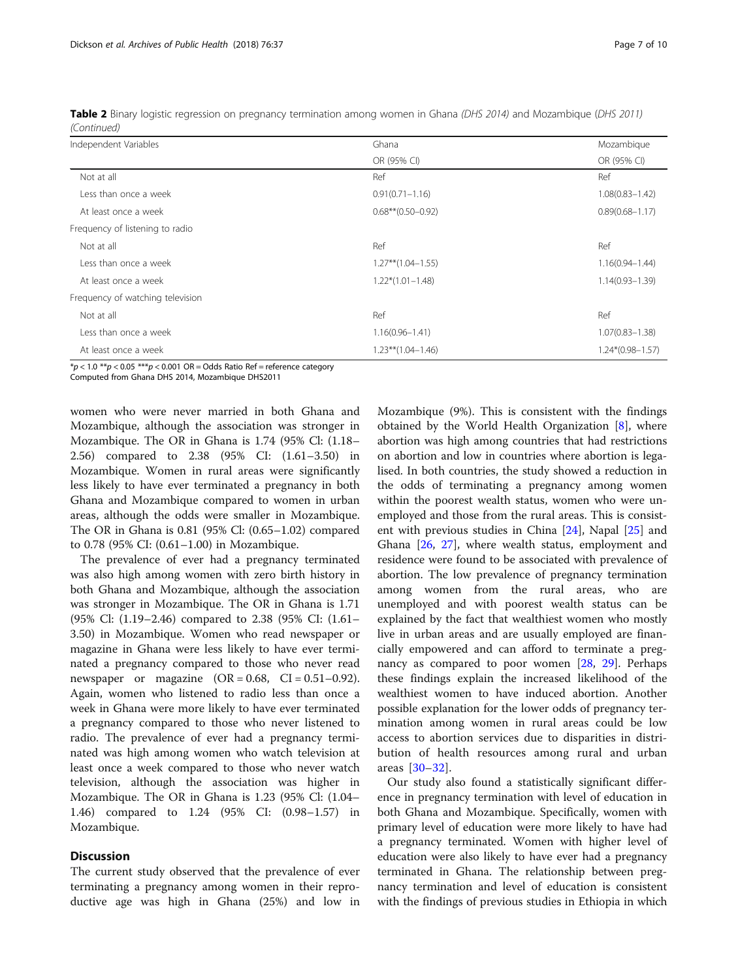|             | Table 2 Binary logistic regression on pregnancy termination among women in Ghana (DHS 2014) and Mozambique (DHS 2011) |  |  |  |
|-------------|-----------------------------------------------------------------------------------------------------------------------|--|--|--|
| (Continued) |                                                                                                                       |  |  |  |

| Independent Variables            | Ghana                 | Mozambique           |
|----------------------------------|-----------------------|----------------------|
|                                  | OR (95% CI)           | OR (95% CI)          |
| Not at all                       | Ref                   | Ref                  |
| Less than once a week            | $0.91(0.71 - 1.16)$   | $1.08(0.83 - 1.42)$  |
| At least once a week             | $0.68**$ (0.50-0.92)  | $0.89(0.68 - 1.17)$  |
| Frequency of listening to radio  |                       |                      |
| Not at all                       | Ref                   | Ref                  |
| Less than once a week            | $1.27***$ (1.04-1.55) | $1.16(0.94 - 1.44)$  |
| At least once a week             | $1.22*(1.01-1.48)$    | $1.14(0.93 - 1.39)$  |
| Frequency of watching television |                       |                      |
| Not at all                       | Ref                   | Ref                  |
| Less than once a week            | $1.16(0.96 - 1.41)$   | $1.07(0.83 - 1.38)$  |
| At least once a week             | $1.23***(1.04-1.46)$  | $1.24*(0.98 - 1.57)$ |

 $\frac{1}{2}p < 1.0$  \*\* $p < 0.05$  \*\*\* $p < 0.001$  OR = Odds Ratio Ref = reference category

Computed from Ghana DHS 2014, Mozambique DHS2011

women who were never married in both Ghana and Mozambique, although the association was stronger in Mozambique. The OR in Ghana is 1.74 (95% Cl: (1.18– 2.56) compared to 2.38 (95% CI: (1.61–3.50) in Mozambique. Women in rural areas were significantly less likely to have ever terminated a pregnancy in both Ghana and Mozambique compared to women in urban areas, although the odds were smaller in Mozambique. The OR in Ghana is 0.81 (95% Cl: (0.65–1.02) compared to 0.78 (95% CI: (0.61–1.00) in Mozambique.

The prevalence of ever had a pregnancy terminated was also high among women with zero birth history in both Ghana and Mozambique, although the association was stronger in Mozambique. The OR in Ghana is 1.71 (95% Cl: (1.19–2.46) compared to 2.38 (95% CI: (1.61– 3.50) in Mozambique. Women who read newspaper or magazine in Ghana were less likely to have ever terminated a pregnancy compared to those who never read newspaper or magazine  $(OR = 0.68, CI = 0.51 - 0.92)$ . Again, women who listened to radio less than once a week in Ghana were more likely to have ever terminated a pregnancy compared to those who never listened to radio. The prevalence of ever had a pregnancy terminated was high among women who watch television at least once a week compared to those who never watch television, although the association was higher in Mozambique. The OR in Ghana is 1.23 (95% Cl: (1.04– 1.46) compared to 1.24 (95% CI: (0.98–1.57) in Mozambique.

# **Discussion**

The current study observed that the prevalence of ever terminating a pregnancy among women in their reproductive age was high in Ghana (25%) and low in

Mozambique (9%). This is consistent with the findings obtained by the World Health Organization [\[8](#page-8-0)], where abortion was high among countries that had restrictions on abortion and low in countries where abortion is legalised. In both countries, the study showed a reduction in the odds of terminating a pregnancy among women within the poorest wealth status, women who were unemployed and those from the rural areas. This is consistent with previous studies in China [[24\]](#page-8-0), Napal [[25\]](#page-8-0) and Ghana [\[26](#page-8-0), [27\]](#page-8-0), where wealth status, employment and residence were found to be associated with prevalence of abortion. The low prevalence of pregnancy termination among women from the rural areas, who are unemployed and with poorest wealth status can be explained by the fact that wealthiest women who mostly live in urban areas and are usually employed are financially empowered and can afford to terminate a pregnancy as compared to poor women [[28,](#page-8-0) [29\]](#page-8-0). Perhaps these findings explain the increased likelihood of the wealthiest women to have induced abortion. Another possible explanation for the lower odds of pregnancy termination among women in rural areas could be low access to abortion services due to disparities in distribution of health resources among rural and urban areas [[30](#page-8-0)–[32](#page-8-0)].

Our study also found a statistically significant difference in pregnancy termination with level of education in both Ghana and Mozambique. Specifically, women with primary level of education were more likely to have had a pregnancy terminated. Women with higher level of education were also likely to have ever had a pregnancy terminated in Ghana. The relationship between pregnancy termination and level of education is consistent with the findings of previous studies in Ethiopia in which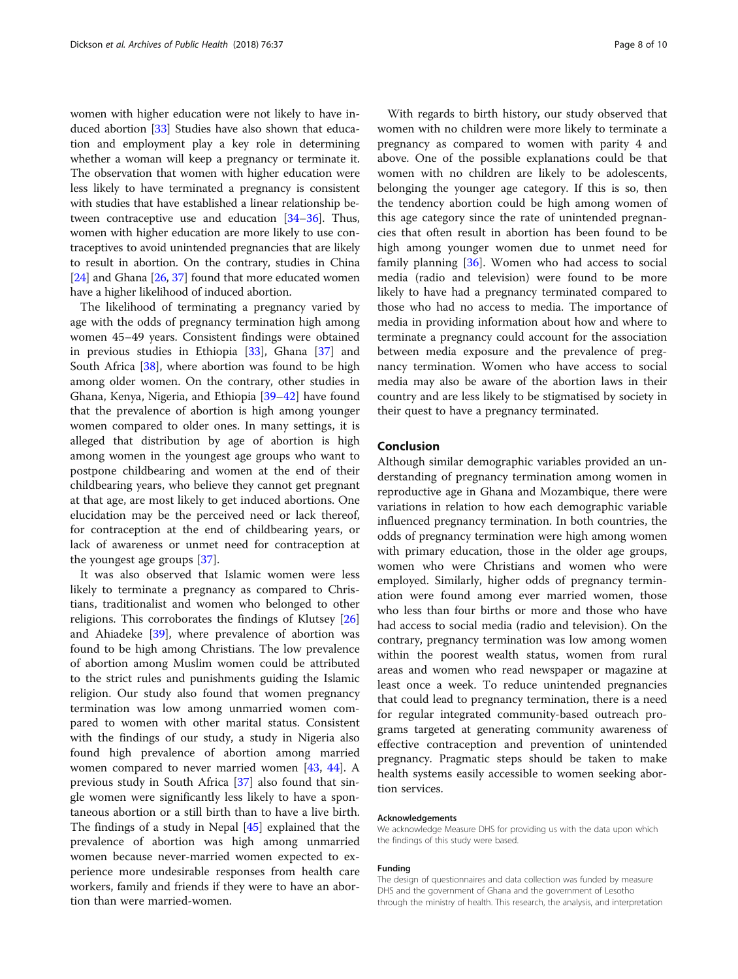women with higher education were not likely to have induced abortion [\[33\]](#page-8-0) Studies have also shown that education and employment play a key role in determining whether a woman will keep a pregnancy or terminate it. The observation that women with higher education were less likely to have terminated a pregnancy is consistent with studies that have established a linear relationship between contraceptive use and education [\[34](#page-8-0)–[36](#page-9-0)]. Thus, women with higher education are more likely to use contraceptives to avoid unintended pregnancies that are likely to result in abortion. On the contrary, studies in China [[24](#page-8-0)] and Ghana [[26](#page-8-0), [37\]](#page-9-0) found that more educated women have a higher likelihood of induced abortion.

The likelihood of terminating a pregnancy varied by age with the odds of pregnancy termination high among women 45–49 years. Consistent findings were obtained in previous studies in Ethiopia [[33](#page-8-0)], Ghana [[37\]](#page-9-0) and South Africa [[38\]](#page-9-0), where abortion was found to be high among older women. On the contrary, other studies in Ghana, Kenya, Nigeria, and Ethiopia [\[39](#page-9-0)–[42\]](#page-9-0) have found that the prevalence of abortion is high among younger women compared to older ones. In many settings, it is alleged that distribution by age of abortion is high among women in the youngest age groups who want to postpone childbearing and women at the end of their childbearing years, who believe they cannot get pregnant at that age, are most likely to get induced abortions. One elucidation may be the perceived need or lack thereof, for contraception at the end of childbearing years, or lack of awareness or unmet need for contraception at the youngest age groups [\[37\]](#page-9-0).

It was also observed that Islamic women were less likely to terminate a pregnancy as compared to Christians, traditionalist and women who belonged to other religions. This corroborates the findings of Klutsey [[26](#page-8-0)] and Ahiadeke [\[39](#page-9-0)], where prevalence of abortion was found to be high among Christians. The low prevalence of abortion among Muslim women could be attributed to the strict rules and punishments guiding the Islamic religion. Our study also found that women pregnancy termination was low among unmarried women compared to women with other marital status. Consistent with the findings of our study, a study in Nigeria also found high prevalence of abortion among married women compared to never married women [\[43,](#page-9-0) [44](#page-9-0)]. A previous study in South Africa [[37](#page-9-0)] also found that single women were significantly less likely to have a spontaneous abortion or a still birth than to have a live birth. The findings of a study in Nepal [\[45](#page-9-0)] explained that the prevalence of abortion was high among unmarried women because never-married women expected to experience more undesirable responses from health care workers, family and friends if they were to have an abortion than were married-women.

With regards to birth history, our study observed that women with no children were more likely to terminate a pregnancy as compared to women with parity 4 and above. One of the possible explanations could be that women with no children are likely to be adolescents, belonging the younger age category. If this is so, then the tendency abortion could be high among women of this age category since the rate of unintended pregnancies that often result in abortion has been found to be high among younger women due to unmet need for family planning [[36\]](#page-9-0). Women who had access to social media (radio and television) were found to be more likely to have had a pregnancy terminated compared to those who had no access to media. The importance of media in providing information about how and where to terminate a pregnancy could account for the association between media exposure and the prevalence of pregnancy termination. Women who have access to social media may also be aware of the abortion laws in their country and are less likely to be stigmatised by society in their quest to have a pregnancy terminated.

# Conclusion

Although similar demographic variables provided an understanding of pregnancy termination among women in reproductive age in Ghana and Mozambique, there were variations in relation to how each demographic variable influenced pregnancy termination. In both countries, the odds of pregnancy termination were high among women with primary education, those in the older age groups, women who were Christians and women who were employed. Similarly, higher odds of pregnancy termination were found among ever married women, those who less than four births or more and those who have had access to social media (radio and television). On the contrary, pregnancy termination was low among women within the poorest wealth status, women from rural areas and women who read newspaper or magazine at least once a week. To reduce unintended pregnancies that could lead to pregnancy termination, there is a need for regular integrated community-based outreach programs targeted at generating community awareness of effective contraception and prevention of unintended pregnancy. Pragmatic steps should be taken to make health systems easily accessible to women seeking abortion services.

#### Acknowledgements

We acknowledge Measure DHS for providing us with the data upon which the findings of this study were based.

#### Funding

The design of questionnaires and data collection was funded by measure DHS and the government of Ghana and the government of Lesotho through the ministry of health. This research, the analysis, and interpretation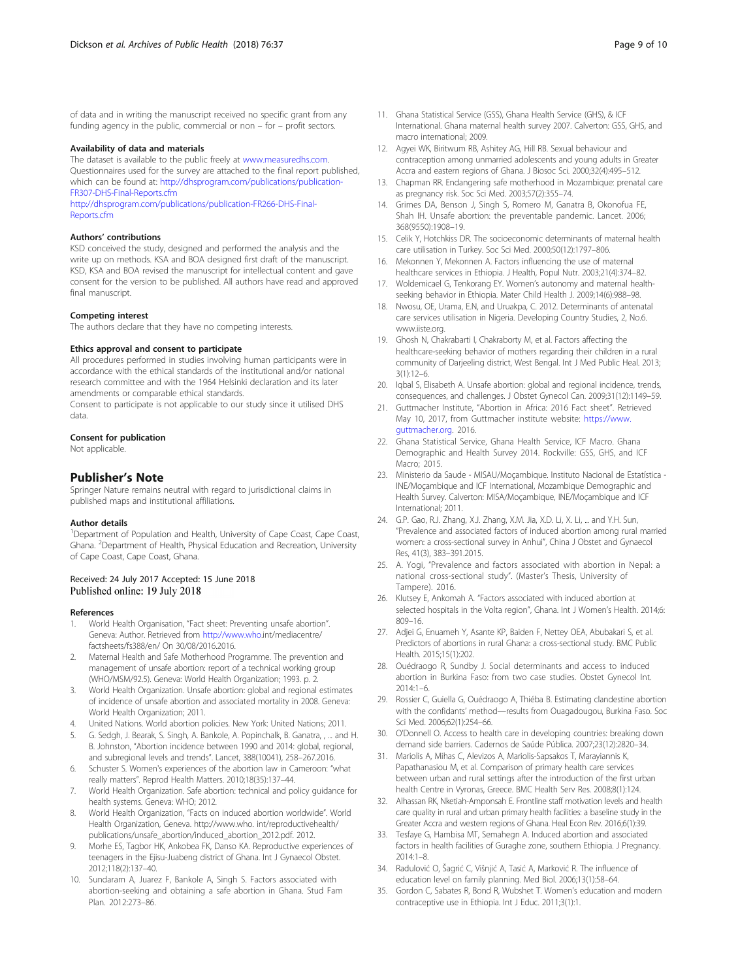<span id="page-8-0"></span>of data and in writing the manuscript received no specific grant from any funding agency in the public, commercial or non – for – profit sectors.

## Availability of data and materials

The dataset is available to the public freely at [www.measuredhs.com](http://www.measuredhs.com). Questionnaires used for the survey are attached to the final report published, which can be found at: [http://dhsprogram.com/publications/publication-](http://dhsprogram.com/publications/publication-FR307-DHS-Final-Reports.cfm)[FR307-DHS-Final-Reports.cfm](http://dhsprogram.com/publications/publication-FR307-DHS-Final-Reports.cfm)

[http://dhsprogram.com/publications/publication-FR266-DHS-Final-](http://dhsprogram.com/publications/publication-FR266-DHS-Final-Reports.cfm)[Reports.cfm](http://dhsprogram.com/publications/publication-FR266-DHS-Final-Reports.cfm)

#### Authors' contributions

KSD conceived the study, designed and performed the analysis and the write up on methods. KSA and BOA designed first draft of the manuscript. KSD, KSA and BOA revised the manuscript for intellectual content and gave consent for the version to be published. All authors have read and approved final manuscript.

#### Competing interest

The authors declare that they have no competing interests.

#### Ethics approval and consent to participate

All procedures performed in studies involving human participants were in accordance with the ethical standards of the institutional and/or national research committee and with the 1964 Helsinki declaration and its later amendments or comparable ethical standards.

Consent to participate is not applicable to our study since it utilised DHS data.

#### Consent for publication

Not applicable.

#### Publisher's Note

Springer Nature remains neutral with regard to jurisdictional claims in published maps and institutional affiliations.

#### Author details

<sup>1</sup>Department of Population and Health, University of Cape Coast, Cape Coast, Ghana. <sup>2</sup>Department of Health, Physical Education and Recreation, University of Cape Coast, Cape Coast, Ghana.

## Received: 24 July 2017 Accepted: 15 June 2018 Published online: 19 July 2018

#### References

- 1. World Health Organisation, "Fact sheet: Preventing unsafe abortion". Geneva: Author. Retrieved from [http://www.who.](http://www.who)int/mediacentre/ factsheets/fs388/en/ On 30/08/2016.2016.
- 2. Maternal Health and Safe Motherhood Programme. The prevention and management of unsafe abortion: report of a technical working group (WHO/MSM/92.5). Geneva: World Health Organization; 1993. p. 2.
- 3. World Health Organization. Unsafe abortion: global and regional estimates of incidence of unsafe abortion and associated mortality in 2008. Geneva: World Health Organization; 2011.
- 4. United Nations. World abortion policies. New York: United Nations; 2011.
- 5. G. Sedgh, J. Bearak, S. Singh, A. Bankole, A. Popinchalk, B. Ganatra, , ... and H. B. Johnston, "Abortion incidence between 1990 and 2014: global, regional, and subregional levels and trends". Lancet, 388(10041), 258–267.2016.
- 6. Schuster S. Women's experiences of the abortion law in Cameroon: "what really matters". Reprod Health Matters. 2010;18(35):137–44.
- 7. World Health Organization. Safe abortion: technical and policy guidance for health systems. Geneva: WHO; 2012.
- 8. World Health Organization, "Facts on induced abortion worldwide". World Health Organization, Geneva. http://www.who. int/reproductivehealth/ publications/unsafe\_abortion/induced\_abortion\_2012.pdf. 2012.
- 9. Morhe ES, Tagbor HK, Ankobea FK, Danso KA. Reproductive experiences of teenagers in the Ejisu-Juabeng district of Ghana. Int J Gynaecol Obstet. 2012;118(2):137–40.
- 10. Sundaram A, Juarez F, Bankole A, Singh S. Factors associated with abortion-seeking and obtaining a safe abortion in Ghana. Stud Fam Plan. 2012:273–86.
- 11. Ghana Statistical Service (GSS), Ghana Health Service (GHS), & ICF International. Ghana maternal health survey 2007. Calverton: GSS, GHS, and macro international; 2009.
- 12. Agyei WK, Biritwum RB, Ashitey AG, Hill RB. Sexual behaviour and contraception among unmarried adolescents and young adults in Greater Accra and eastern regions of Ghana. J Biosoc Sci. 2000;32(4):495–512.
- 13. Chapman RR. Endangering safe motherhood in Mozambique: prenatal care as pregnancy risk. Soc Sci Med. 2003;57(2):355–74.
- 14. Grimes DA, Benson J, Singh S, Romero M, Ganatra B, Okonofua FE, Shah IH. Unsafe abortion: the preventable pandemic. Lancet. 2006; 368(9550):1908–19.
- 15. Celik Y, Hotchkiss DR. The socioeconomic determinants of maternal health care utilisation in Turkey. Soc Sci Med. 2000;50(12):1797–806.
- 16. Mekonnen Y, Mekonnen A. Factors influencing the use of maternal healthcare services in Ethiopia. J Health, Popul Nutr. 2003;21(4):374–82.
- 17. Woldemicael G, Tenkorang EY. Women's autonomy and maternal healthseeking behavior in Ethiopia. Mater Child Health J. 2009;14(6):988–98.
- 18. Nwosu, OE, Urama, E.N, and Uruakpa, C. 2012. Determinants of antenatal care services utilisation in Nigeria. Developing Country Studies, 2, No.6. www.iiste.org.
- 19. Ghosh N, Chakrabarti I, Chakraborty M, et al. Factors affecting the healthcare-seeking behavior of mothers regarding their children in a rural community of Darjeeling district, West Bengal. Int J Med Public Heal. 2013; 3(1):12–6.
- 20. Iqbal S, Elisabeth A. Unsafe abortion: global and regional incidence, trends, consequences, and challenges. J Obstet Gynecol Can. 2009;31(12):1149–59.
- 21. Guttmacher Institute, "Abortion in Africa: 2016 Fact sheet". Retrieved May 10, 2017, from Guttmacher institute website: [https://www.](https://www.guttmacher.org) [guttmacher.org](https://www.guttmacher.org). 2016.
- 22. Ghana Statistical Service, Ghana Health Service, ICF Macro. Ghana Demographic and Health Survey 2014. Rockville: GSS, GHS, and ICF Macro; 2015.
- 23. Ministerio da Saude MISAU/Moçambique. Instituto Nacional de Estatística INE/Moçambique and ICF International, Mozambique Demographic and Health Survey. Calverton: MISA/Moçambique, INE/Moçambique and ICF International; 2011.
- 24. G.P. Gao, R.J. Zhang, X.J. Zhang, X.M. Jia, X.D. Li, X. Li, ... and Y.H. Sun, "Prevalence and associated factors of induced abortion among rural married women: a cross-sectional survey in Anhui", China J Obstet and Gynaecol Res, 41(3), 383–391.2015.
- 25. A. Yogi, "Prevalence and factors associated with abortion in Nepal: a national cross-sectional study". (Master's Thesis, University of Tampere). 2016.
- 26. Klutsey E, Ankomah A. "Eactors associated with induced abortion at selected hospitals in the Volta region", Ghana. Int J Women's Health. 2014;6: 809–16.
- 27. Adjei G, Enuameh Y, Asante KP, Baiden F, Nettey OEA, Abubakari S, et al. Predictors of abortions in rural Ghana: a cross-sectional study. BMC Public Health. 2015;15(1):202.
- 28. Ouédraogo R, Sundby J. Social determinants and access to induced abortion in Burkina Faso: from two case studies. Obstet Gynecol Int. 2014:1–6.
- 29. Rossier C, Guiella G, Ouédraogo A, Thiéba B. Estimating clandestine abortion with the confidants' method—results from Ouagadougou, Burkina Faso. Soc Sci Med. 2006;62(1):254–66.
- 30. O'Donnell O. Access to health care in developing countries: breaking down demand side barriers. Cadernos de Saúde Pública. 2007;23(12):2820–34.
- 31. Mariolis A, Mihas C, Alevizos A, Mariolis-Sapsakos T, Marayiannis K, Papathanasiou M, et al. Comparison of primary health care services between urban and rural settings after the introduction of the first urban health Centre in Vyronas, Greece. BMC Health Serv Res. 2008;8(1):124.
- 32. Alhassan RK, Nketiah-Amponsah E. Frontline staff motivation levels and health care quality in rural and urban primary health facilities: a baseline study in the Greater Accra and western regions of Ghana. Heal Econ Rev. 2016;6(1):39.
- 33. Tesfaye G, Hambisa MT, Semahegn A. Induced abortion and associated factors in health facilities of Guraghe zone, southern Ethiopia. J Pregnancy. 2014:1–8.
- 34. Radulović O, Šagrić C, Višnjić A, Tasić A, Marković R. The influence of education level on family planning. Med Biol. 2006;13(1):58–64.
- 35. Gordon C, Sabates R, Bond R, Wubshet T. Women's education and modern contraceptive use in Ethiopia. Int J Educ. 2011;3(1):1.